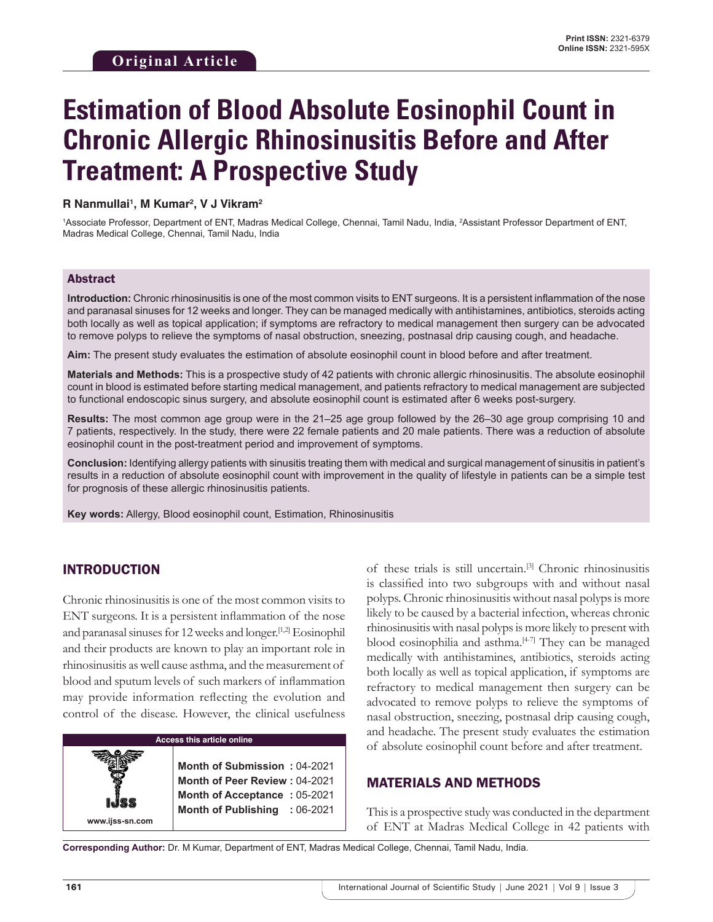# **Estimation of Blood Absolute Eosinophil Count in Chronic Allergic Rhinosinusitis Before and After Treatment: A Prospective Study**

#### **R Nanmullai1 , M Kumar2 , V J Vikram2**

<sup>1</sup>Associate Professor, Department of ENT, Madras Medical College, Chennai, Tamil Nadu, India, <sup>2</sup>Assistant Professor Department of ENT, Madras Medical College, Chennai, Tamil Nadu, India

#### Abstract

**Introduction:** Chronic rhinosinusitis is one of the most common visits to ENT surgeons. It is a persistent inflammation of the nose and paranasal sinuses for 12 weeks and longer. They can be managed medically with antihistamines, antibiotics, steroids acting both locally as well as topical application; if symptoms are refractory to medical management then surgery can be advocated to remove polyps to relieve the symptoms of nasal obstruction, sneezing, postnasal drip causing cough, and headache.

**Aim:** The present study evaluates the estimation of absolute eosinophil count in blood before and after treatment.

**Materials and Methods:** This is a prospective study of 42 patients with chronic allergic rhinosinusitis. The absolute eosinophil count in blood is estimated before starting medical management, and patients refractory to medical management are subjected to functional endoscopic sinus surgery, and absolute eosinophil count is estimated after 6 weeks post-surgery.

**Results:** The most common age group were in the 21–25 age group followed by the 26–30 age group comprising 10 and 7 patients, respectively. In the study, there were 22 female patients and 20 male patients. There was a reduction of absolute eosinophil count in the post-treatment period and improvement of symptoms.

**Conclusion:** Identifying allergy patients with sinusitis treating them with medical and surgical management of sinusitis in patient's results in a reduction of absolute eosinophil count with improvement in the quality of lifestyle in patients can be a simple test for prognosis of these allergic rhinosinusitis patients.

**Key words:** Allergy, Blood eosinophil count, Estimation, Rhinosinusitis

## INTRODUCTION

**www.ijss-sn.com**

Chronic rhinosinusitis is one of the most common visits to ENT surgeons. It is a persistent inflammation of the nose and paranasal sinuses for 12 weeks and longer.<sup>[1,2]</sup> Eosinophil and their products are known to play an important role in rhinosinusitis as well cause asthma, and the measurement of blood and sputum levels of such markers of inflammation may provide information reflecting the evolution and control of the disease. However, the clinical usefulness

#### **Access this article online**

**Month of Submission :** 04-2021 **Month of Peer Review :** 04-2021 **Month of Acceptance :** 05-2021 **Month of Publishing :** 06-2021 of these trials is still uncertain.[3] Chronic rhinosinusitis is classified into two subgroups with and without nasal polyps. Chronic rhinosinusitis without nasal polyps is more likely to be caused by a bacterial infection, whereas chronic rhinosinusitis with nasal polyps is more likely to present with blood eosinophilia and asthma.<sup>[4-7]</sup> They can be managed medically with antihistamines, antibiotics, steroids acting both locally as well as topical application, if symptoms are refractory to medical management then surgery can be advocated to remove polyps to relieve the symptoms of nasal obstruction, sneezing, postnasal drip causing cough, and headache. The present study evaluates the estimation of absolute eosinophil count before and after treatment.

#### MATERIALS AND METHODS

This is a prospective study was conducted in the department of ENT at Madras Medical College in 42 patients with

**Corresponding Author:** Dr. M Kumar, Department of ENT, Madras Medical College, Chennai, Tamil Nadu, India.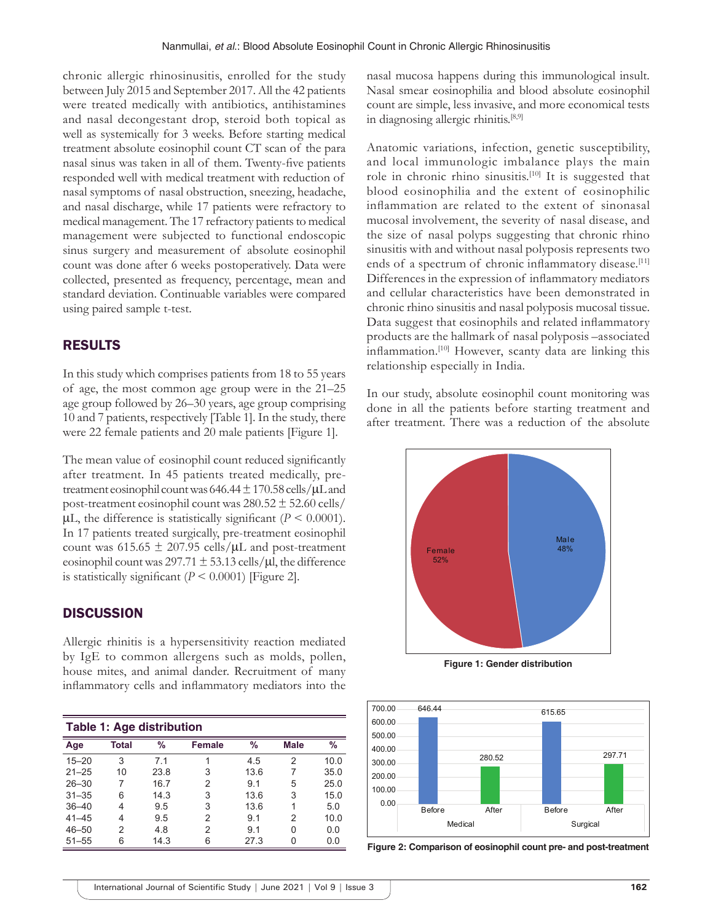chronic allergic rhinosinusitis, enrolled for the study between July 2015 and September 2017. All the 42 patients were treated medically with antibiotics, antihistamines and nasal decongestant drop, steroid both topical as well as systemically for 3 weeks. Before starting medical treatment absolute eosinophil count CT scan of the para nasal sinus was taken in all of them. Twenty-five patients responded well with medical treatment with reduction of nasal symptoms of nasal obstruction, sneezing, headache, and nasal discharge, while 17 patients were refractory to medical management. The 17 refractory patients to medical management were subjected to functional endoscopic sinus surgery and measurement of absolute eosinophil count was done after 6 weeks postoperatively. Data were collected, presented as frequency, percentage, mean and standard deviation. Continuable variables were compared using paired sample t-test.

## RESULTS

In this study which comprises patients from 18 to 55 years of age, the most common age group were in the 21–25 age group followed by 26–30 years, age group comprising 10 and 7 patients, respectively [Table 1]. In the study, there were 22 female patients and 20 male patients [Figure 1].

The mean value of eosinophil count reduced significantly after treatment. In 45 patients treated medically, pretreatment eosinophil count was 646.44 ± 170.58 cells/μL and post-treatment eosinophil count was  $280.52 \pm 52.60$  cells/ μL, the difference is statistically significant ( $P < 0.0001$ ). In 17 patients treated surgically, pre-treatment eosinophil count was 615.65  $\pm$  207.95 cells/ $\mu$ L and post-treatment eosinophil count was  $297.71 \pm 53.13$  cells/ $\mu$ l, the difference is statistically significant  $(P < 0.0001)$  [Figure 2].

#### **DISCUSSION**

Allergic rhinitis is a hypersensitivity reaction mediated by IgE to common allergens such as molds, pollen, house mites, and animal dander. Recruitment of many inflammatory cells and inflammatory mediators into the

| <b>Table 1: Age distribution</b> |       |      |        |      |      |               |
|----------------------------------|-------|------|--------|------|------|---------------|
| Age                              | Total | $\%$ | Female | $\%$ | Male | $\frac{9}{6}$ |
| $15 - 20$                        | 3     | 7.1  |        | 4.5  | 2    | 10.0          |
| $21 - 25$                        | 10    | 23.8 | 3      | 13.6 |      | 35.0          |
| $26 - 30$                        |       | 16.7 | 2      | 9.1  | 5    | 25.0          |
| $31 - 35$                        | 6     | 14.3 | 3      | 13.6 | 3    | 15.0          |
| $36 - 40$                        | 4     | 9.5  | 3      | 13.6 | 1    | 5.0           |
| $41 - 45$                        | 4     | 9.5  | 2      | 9.1  | 2    | 10.0          |
| $46 - 50$                        | 2     | 4.8  | 2      | 9.1  | 0    | 0.0           |
| $51 - 55$                        | հ     | 14.3 | 6      | 27.3 | 0    | 0.0           |

nasal mucosa happens during this immunological insult. Nasal smear eosinophilia and blood absolute eosinophil count are simple, less invasive, and more economical tests in diagnosing allergic rhinitis.[8,9]

Anatomic variations, infection, genetic susceptibility, and local immunologic imbalance plays the main role in chronic rhino sinusitis.<sup>[10]</sup> It is suggested that blood eosinophilia and the extent of eosinophilic inflammation are related to the extent of sinonasal mucosal involvement, the severity of nasal disease, and the size of nasal polyps suggesting that chronic rhino sinusitis with and without nasal polyposis represents two ends of a spectrum of chronic inflammatory disease.<sup>[11]</sup> Differences in the expression of inflammatory mediators and cellular characteristics have been demonstrated in chronic rhino sinusitis and nasal polyposis mucosal tissue. Data suggest that eosinophils and related inflammatory products are the hallmark of nasal polyposis –associated inflammation.<sup>[10]</sup> However, scanty data are linking this relationship especially in India.

In our study, absolute eosinophil count monitoring was done in all the patients before starting treatment and after treatment. There was a reduction of the absolute



**Figure 1: Gender distribution**



**Figure 2: Comparison of eosinophil count pre- and post-treatment**